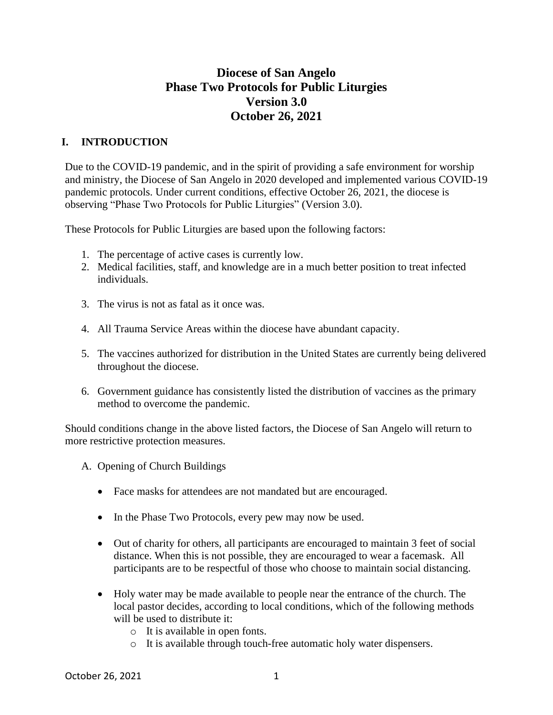# **Diocese of San Angelo Phase Two Protocols for Public Liturgies Version 3.0 October 26, 2021**

## **I. INTRODUCTION**

Due to the COVID-19 pandemic, and in the spirit of providing a safe environment for worship and ministry, the Diocese of San Angelo in 2020 developed and implemented various COVID-19 pandemic protocols. Under current conditions, effective October 26, 2021, the diocese is observing "Phase Two Protocols for Public Liturgies" (Version 3.0).

These Protocols for Public Liturgies are based upon the following factors:

- 1. The percentage of active cases is currently low.
- 2. Medical facilities, staff, and knowledge are in a much better position to treat infected individuals.
- 3. The virus is not as fatal as it once was.
- 4. All Trauma Service Areas within the diocese have abundant capacity.
- 5. The vaccines authorized for distribution in the United States are currently being delivered throughout the diocese.
- 6. Government guidance has consistently listed the distribution of vaccines as the primary method to overcome the pandemic.

Should conditions change in the above listed factors, the Diocese of San Angelo will return to more restrictive protection measures.

- A. Opening of Church Buildings
	- Face masks for attendees are not mandated but are encouraged.
	- In the Phase Two Protocols, every pew may now be used.
	- Out of charity for others, all participants are encouraged to maintain 3 feet of social distance. When this is not possible, they are encouraged to wear a facemask. All participants are to be respectful of those who choose to maintain social distancing.
	- Holy water may be made available to people near the entrance of the church. The local pastor decides, according to local conditions, which of the following methods will be used to distribute it:
		- o It is available in open fonts.
		- o It is available through touch-free automatic holy water dispensers.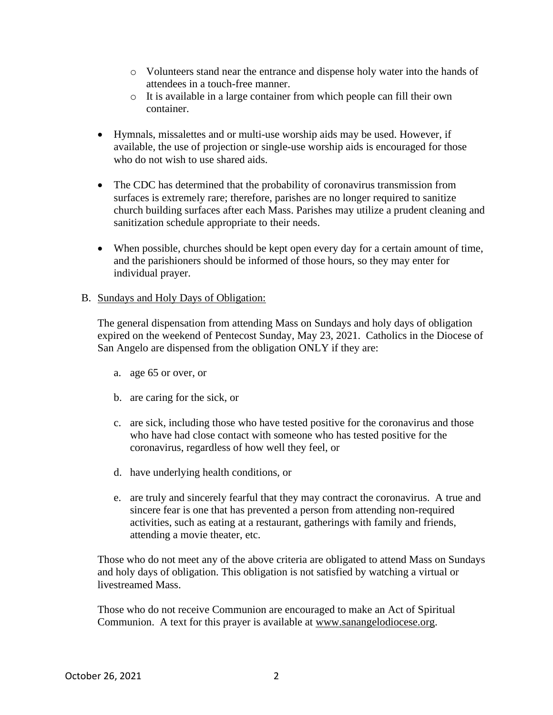- o Volunteers stand near the entrance and dispense holy water into the hands of attendees in a touch-free manner.
- o It is available in a large container from which people can fill their own container.
- Hymnals, missalettes and or multi-use worship aids may be used. However, if available, the use of projection or single-use worship aids is encouraged for those who do not wish to use shared aids.
- The CDC has determined that the probability of coronavirus transmission from surfaces is extremely rare; therefore, parishes are no longer required to sanitize church building surfaces after each Mass. Parishes may utilize a prudent cleaning and sanitization schedule appropriate to their needs.
- When possible, churches should be kept open every day for a certain amount of time, and the parishioners should be informed of those hours, so they may enter for individual prayer.

#### B. Sundays and Holy Days of Obligation:

The general dispensation from attending Mass on Sundays and holy days of obligation expired on the weekend of Pentecost Sunday, May 23, 2021. Catholics in the Diocese of San Angelo are dispensed from the obligation ONLY if they are:

- a. age 65 or over, or
- b. are caring for the sick, or
- c. are sick, including those who have tested positive for the coronavirus and those who have had close contact with someone who has tested positive for the coronavirus, regardless of how well they feel, or
- d. have underlying health conditions, or
- e. are truly and sincerely fearful that they may contract the coronavirus. A true and sincere fear is one that has prevented a person from attending non-required activities, such as eating at a restaurant, gatherings with family and friends, attending a movie theater, etc.

Those who do not meet any of the above criteria are obligated to attend Mass on Sundays and holy days of obligation. This obligation is not satisfied by watching a virtual or livestreamed Mass.

Those who do not receive Communion are encouraged to make an Act of Spiritual Communion. A text for this prayer is available at [www.sanangelodiocese.org.](http://www.sanangelodiocese.org/)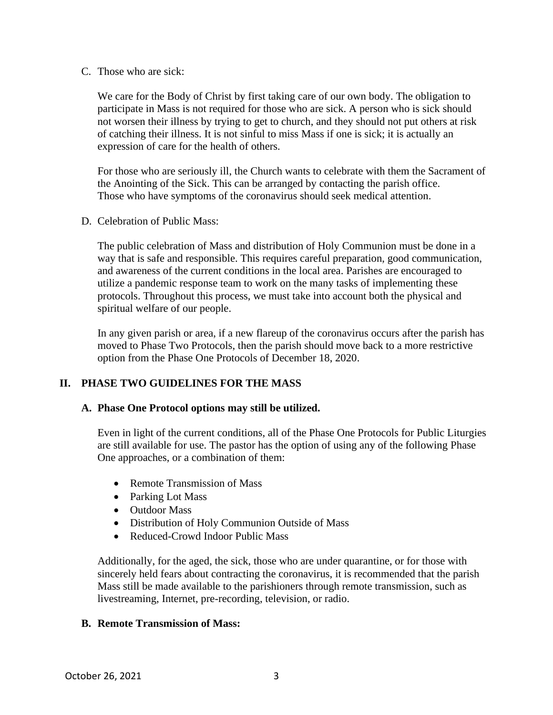C. Those who are sick:

We care for the Body of Christ by first taking care of our own body. The obligation to participate in Mass is not required for those who are sick. A person who is sick should not worsen their illness by trying to get to church, and they should not put others at risk of catching their illness. It is not sinful to miss Mass if one is sick; it is actually an expression of care for the health of others.

For those who are seriously ill, the Church wants to celebrate with them the Sacrament of the Anointing of the Sick. This can be arranged by contacting the parish office. Those who have symptoms of the coronavirus should seek medical attention.

D. Celebration of Public Mass:

The public celebration of Mass and distribution of Holy Communion must be done in a way that is safe and responsible. This requires careful preparation, good communication, and awareness of the current conditions in the local area. Parishes are encouraged to utilize a pandemic response team to work on the many tasks of implementing these protocols. Throughout this process, we must take into account both the physical and spiritual welfare of our people.

In any given parish or area, if a new flareup of the coronavirus occurs after the parish has moved to Phase Two Protocols, then the parish should move back to a more restrictive option from the Phase One Protocols of December 18, 2020.

## **II. PHASE TWO GUIDELINES FOR THE MASS**

#### **A. Phase One Protocol options may still be utilized.**

Even in light of the current conditions, all of the Phase One Protocols for Public Liturgies are still available for use. The pastor has the option of using any of the following Phase One approaches, or a combination of them:

- Remote Transmission of Mass
- Parking Lot Mass
- Outdoor Mass
- Distribution of Holy Communion Outside of Mass
- Reduced-Crowd Indoor Public Mass

Additionally, for the aged, the sick, those who are under quarantine, or for those with sincerely held fears about contracting the coronavirus, it is recommended that the parish Mass still be made available to the parishioners through remote transmission, such as livestreaming, Internet, pre-recording, television, or radio.

#### **B. Remote Transmission of Mass:**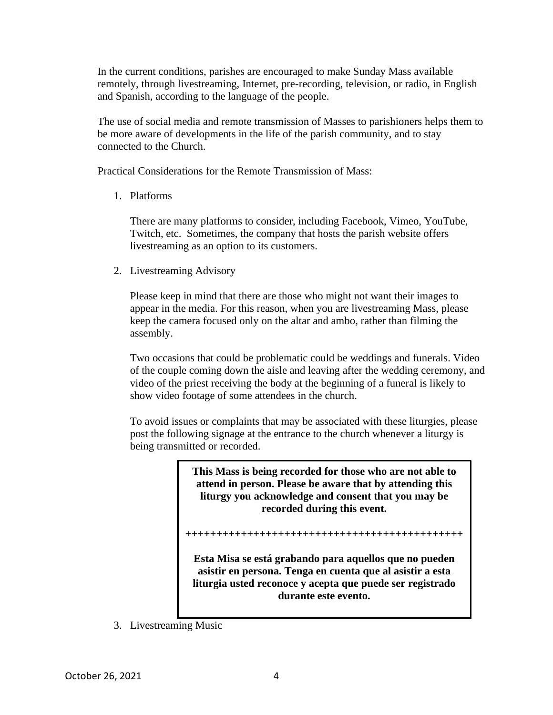In the current conditions, parishes are encouraged to make Sunday Mass available remotely, through livestreaming, Internet, pre-recording, television, or radio, in English and Spanish, according to the language of the people.

The use of social media and remote transmission of Masses to parishioners helps them to be more aware of developments in the life of the parish community, and to stay connected to the Church.

Practical Considerations for the Remote Transmission of Mass:

1. Platforms

There are many platforms to consider, including Facebook, Vimeo, YouTube, Twitch, etc. Sometimes, the company that hosts the parish website offers livestreaming as an option to its customers.

2. Livestreaming Advisory

Please keep in mind that there are those who might not want their images to appear in the media. For this reason, when you are livestreaming Mass, please keep the camera focused only on the altar and ambo, rather than filming the assembly.

Two occasions that could be problematic could be weddings and funerals. Video of the couple coming down the aisle and leaving after the wedding ceremony, and video of the priest receiving the body at the beginning of a funeral is likely to show video footage of some attendees in the church.

To avoid issues or complaints that may be associated with these liturgies, please post the following signage at the entrance to the church whenever a liturgy is being transmitted or recorded.

> **This Mass is being recorded for those who are not able to attend in person. Please be aware that by attending this liturgy you acknowledge and consent that you may be recorded during this event.**

**+++++++++++++++++++++++++++++++++++++++++++++**

**Esta Misa se está grabando para aquellos que no pueden asistir en persona. Tenga en cuenta que al asistir a esta liturgia usted reconoce y acepta que puede ser registrado durante este evento.**

3. Livestreaming Music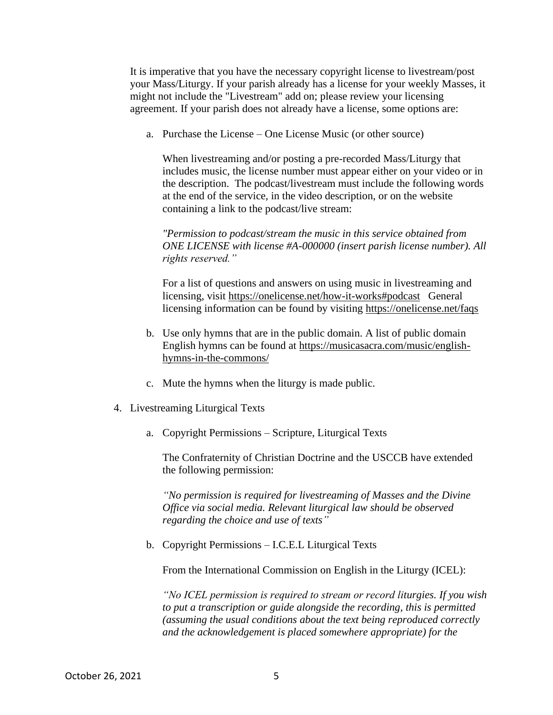It is imperative that you have the necessary copyright license to livestream/post your Mass/Liturgy. If your parish already has a license for your weekly Masses, it might not include the "Livestream" add on; please review your licensing agreement. If your parish does not already have a license, some options are:

a. Purchase the License – One License Music (or other source)

When livestreaming and/or posting a pre-recorded Mass/Liturgy that includes music, the license number must appear either on your video or in the description. The podcast/livestream must include the following words at the end of the service, in the video description, or on the website containing a link to the podcast/live stream:

*"Permission to podcast/stream the music in this service obtained from ONE LICENSE with license #A-000000 (insert parish license number). All rights reserved."*

For a list of questions and answers on using music in livestreaming and licensing, visit <https://onelicense.net/how-it-works#podcast>General licensing information can be found by visiting <https://onelicense.net/faqs>

- b. Use only hymns that are in the public domain. A list of public domain English hymns can be found at [https://musicasacra.com/music/english](https://musicasacra.com/music/english-hymns-in-the-commons/)[hymns-in-the-commons/](https://musicasacra.com/music/english-hymns-in-the-commons/)
- c. Mute the hymns when the liturgy is made public.
- 4. Livestreaming Liturgical Texts
	- a. Copyright Permissions Scripture, Liturgical Texts

The Confraternity of Christian Doctrine and the USCCB have extended the following permission:

*"No permission is required for livestreaming of Masses and the Divine Office via social media. Relevant liturgical law should be observed regarding the choice and use of texts"*

b. Copyright Permissions – I.C.E.L Liturgical Texts

From the International Commission on English in the Liturgy (ICEL):

*"No ICEL permission is required to stream or record liturgies. If you wish to put a transcription or guide alongside the recording, this is permitted (assuming the usual conditions about the text being reproduced correctly and the acknowledgement is placed somewhere appropriate) for the*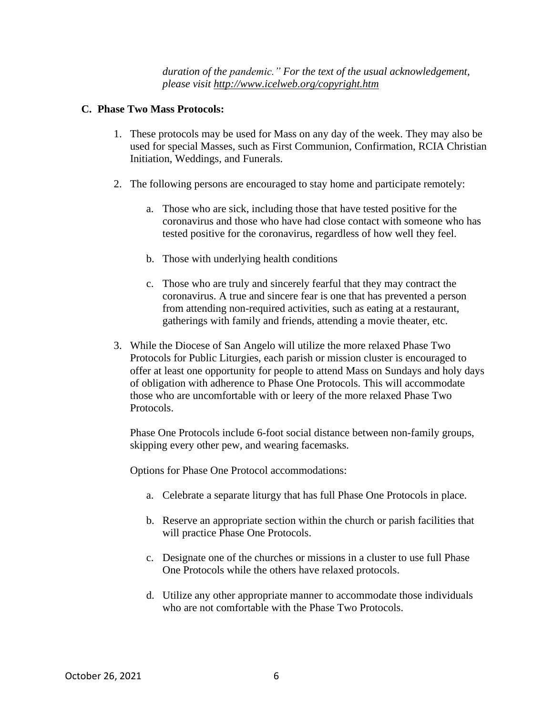*duration of the pandemic." For the text of the usual acknowledgement, please visit <http://www.icelweb.org/copyright.htm>*

#### **C. Phase Two Mass Protocols:**

- 1. These protocols may be used for Mass on any day of the week. They may also be used for special Masses, such as First Communion, Confirmation, RCIA Christian Initiation, Weddings, and Funerals.
- 2. The following persons are encouraged to stay home and participate remotely:
	- a. Those who are sick, including those that have tested positive for the coronavirus and those who have had close contact with someone who has tested positive for the coronavirus, regardless of how well they feel.
	- b. Those with underlying health conditions
	- c. Those who are truly and sincerely fearful that they may contract the coronavirus. A true and sincere fear is one that has prevented a person from attending non-required activities, such as eating at a restaurant, gatherings with family and friends, attending a movie theater, etc.
- 3. While the Diocese of San Angelo will utilize the more relaxed Phase Two Protocols for Public Liturgies, each parish or mission cluster is encouraged to offer at least one opportunity for people to attend Mass on Sundays and holy days of obligation with adherence to Phase One Protocols. This will accommodate those who are uncomfortable with or leery of the more relaxed Phase Two Protocols.

Phase One Protocols include 6-foot social distance between non-family groups, skipping every other pew, and wearing facemasks.

Options for Phase One Protocol accommodations:

- a. Celebrate a separate liturgy that has full Phase One Protocols in place.
- b. Reserve an appropriate section within the church or parish facilities that will practice Phase One Protocols.
- c. Designate one of the churches or missions in a cluster to use full Phase One Protocols while the others have relaxed protocols.
- d. Utilize any other appropriate manner to accommodate those individuals who are not comfortable with the Phase Two Protocols.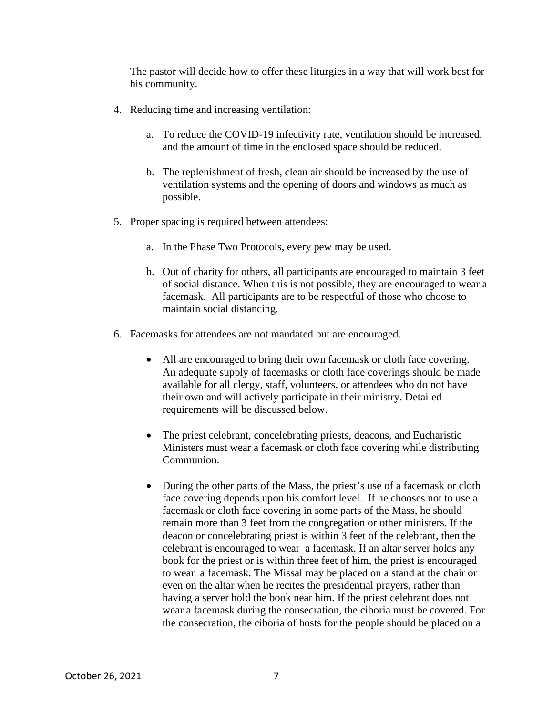The pastor will decide how to offer these liturgies in a way that will work best for his community.

- 4. Reducing time and increasing ventilation:
	- a. To reduce the COVID-19 infectivity rate, ventilation should be increased, and the amount of time in the enclosed space should be reduced.
	- b. The replenishment of fresh, clean air should be increased by the use of ventilation systems and the opening of doors and windows as much as possible.
- 5. Proper spacing is required between attendees:
	- a. In the Phase Two Protocols, every pew may be used.
	- b. Out of charity for others, all participants are encouraged to maintain 3 feet of social distance. When this is not possible, they are encouraged to wear a facemask. All participants are to be respectful of those who choose to maintain social distancing.
- 6. Facemasks for attendees are not mandated but are encouraged.
	- All are encouraged to bring their own facemask or cloth face covering. An adequate supply of facemasks or cloth face coverings should be made available for all clergy, staff, volunteers, or attendees who do not have their own and will actively participate in their ministry. Detailed requirements will be discussed below.
	- The priest celebrant, concelebrating priests, deacons, and Eucharistic Ministers must wear a facemask or cloth face covering while distributing Communion.
	- During the other parts of the Mass, the priest's use of a facemask or cloth face covering depends upon his comfort level.. If he chooses not to use a facemask or cloth face covering in some parts of the Mass, he should remain more than 3 feet from the congregation or other ministers. If the deacon or concelebrating priest is within 3 feet of the celebrant, then the celebrant is encouraged to wear a facemask. If an altar server holds any book for the priest or is within three feet of him, the priest is encouraged to wear a facemask. The Missal may be placed on a stand at the chair or even on the altar when he recites the presidential prayers, rather than having a server hold the book near him. If the priest celebrant does not wear a facemask during the consecration, the ciboria must be covered. For the consecration, the ciboria of hosts for the people should be placed on a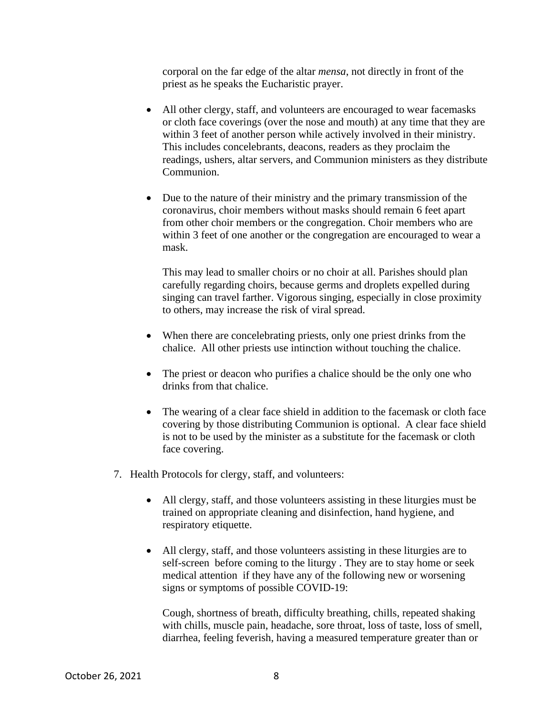corporal on the far edge of the altar *mensa*, not directly in front of the priest as he speaks the Eucharistic prayer.

- All other clergy, staff, and volunteers are encouraged to wear facemasks or cloth face coverings (over the nose and mouth) at any time that they are within 3 feet of another person while actively involved in their ministry. This includes concelebrants, deacons, readers as they proclaim the readings, ushers, altar servers, and Communion ministers as they distribute Communion.
- Due to the nature of their ministry and the primary transmission of the coronavirus, choir members without masks should remain 6 feet apart from other choir members or the congregation. Choir members who are within 3 feet of one another or the congregation are encouraged to wear a mask.

This may lead to smaller choirs or no choir at all. Parishes should plan carefully regarding choirs, because germs and droplets expelled during singing can travel farther. Vigorous singing, especially in close proximity to others, may increase the risk of viral spread.

- When there are concelebrating priests, only one priest drinks from the chalice. All other priests use intinction without touching the chalice.
- The priest or deacon who purifies a chalice should be the only one who drinks from that chalice.
- The wearing of a clear face shield in addition to the facemask or cloth face covering by those distributing Communion is optional. A clear face shield is not to be used by the minister as a substitute for the facemask or cloth face covering.
- 7. Health Protocols for clergy, staff, and volunteers:
	- All clergy, staff, and those volunteers assisting in these liturgies must be trained on appropriate cleaning and disinfection, hand hygiene, and respiratory etiquette.
	- All clergy, staff, and those volunteers assisting in these liturgies are to self-screen before coming to the liturgy . They are to stay home or seek medical attention if they have any of the following new or worsening signs or symptoms of possible COVID-19:

Cough, shortness of breath, difficulty breathing, chills, repeated shaking with chills, muscle pain, headache, sore throat, loss of taste, loss of smell, diarrhea, feeling feverish, having a measured temperature greater than or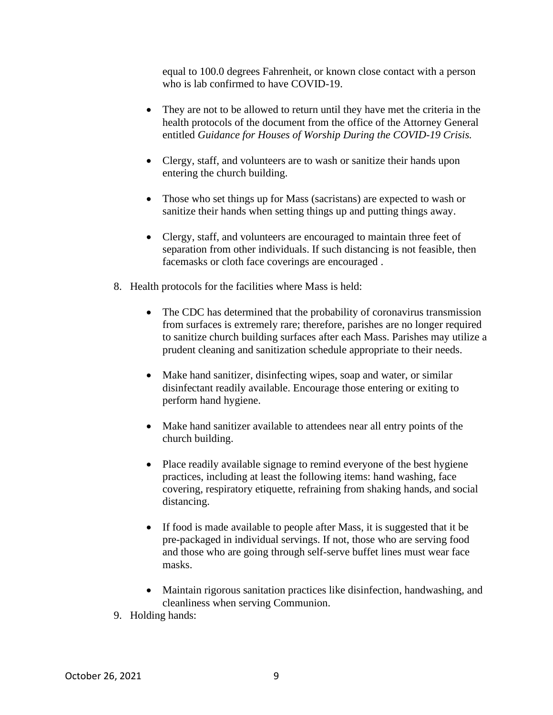equal to 100.0 degrees Fahrenheit, or known close contact with a person who is lab confirmed to have COVID-19.

- They are not to be allowed to return until they have met the criteria in the health protocols of the document from the office of the Attorney General entitled *Guidance for Houses of Worship During the COVID-19 Crisis.*
- Clergy, staff, and volunteers are to wash or sanitize their hands upon entering the church building.
- Those who set things up for Mass (sacristans) are expected to wash or sanitize their hands when setting things up and putting things away.
- Clergy, staff, and volunteers are encouraged to maintain three feet of separation from other individuals. If such distancing is not feasible, then facemasks or cloth face coverings are encouraged .
- 8. Health protocols for the facilities where Mass is held:
	- The CDC has determined that the probability of coronavirus transmission from surfaces is extremely rare; therefore, parishes are no longer required to sanitize church building surfaces after each Mass. Parishes may utilize a prudent cleaning and sanitization schedule appropriate to their needs.
	- Make hand sanitizer, disinfecting wipes, soap and water, or similar disinfectant readily available. Encourage those entering or exiting to perform hand hygiene.
	- Make hand sanitizer available to attendees near all entry points of the church building.
	- Place readily available signage to remind everyone of the best hygiene practices, including at least the following items: hand washing, face covering, respiratory etiquette, refraining from shaking hands, and social distancing.
	- If food is made available to people after Mass, it is suggested that it be pre-packaged in individual servings. If not, those who are serving food and those who are going through self-serve buffet lines must wear face masks.
	- Maintain rigorous sanitation practices like disinfection, handwashing, and cleanliness when serving Communion.
- 9. Holding hands: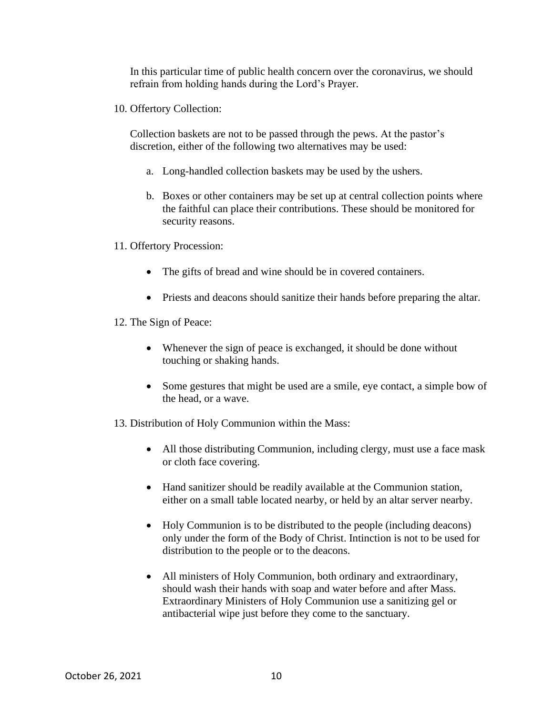In this particular time of public health concern over the coronavirus, we should refrain from holding hands during the Lord's Prayer.

10. Offertory Collection:

Collection baskets are not to be passed through the pews. At the pastor's discretion, either of the following two alternatives may be used:

- a. Long-handled collection baskets may be used by the ushers.
- b. Boxes or other containers may be set up at central collection points where the faithful can place their contributions. These should be monitored for security reasons.
- 11. Offertory Procession:
	- The gifts of bread and wine should be in covered containers.
	- Priests and deacons should sanitize their hands before preparing the altar.
- 12. The Sign of Peace:
	- Whenever the sign of peace is exchanged, it should be done without touching or shaking hands.
	- Some gestures that might be used are a smile, eye contact, a simple bow of the head, or a wave.
- 13. Distribution of Holy Communion within the Mass:
	- All those distributing Communion, including clergy, must use a face mask or cloth face covering.
	- Hand sanitizer should be readily available at the Communion station, either on a small table located nearby, or held by an altar server nearby.
	- Holy Communion is to be distributed to the people (including deacons) only under the form of the Body of Christ. Intinction is not to be used for distribution to the people or to the deacons.
	- All ministers of Holy Communion, both ordinary and extraordinary, should wash their hands with soap and water before and after Mass. Extraordinary Ministers of Holy Communion use a sanitizing gel or antibacterial wipe just before they come to the sanctuary.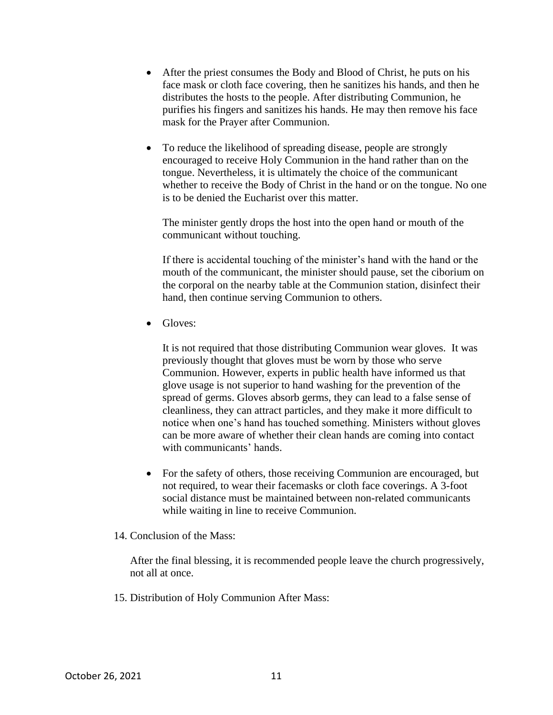- After the priest consumes the Body and Blood of Christ, he puts on his face mask or cloth face covering, then he sanitizes his hands, and then he distributes the hosts to the people. After distributing Communion, he purifies his fingers and sanitizes his hands. He may then remove his face mask for the Prayer after Communion.
- To reduce the likelihood of spreading disease, people are strongly encouraged to receive Holy Communion in the hand rather than on the tongue. Nevertheless, it is ultimately the choice of the communicant whether to receive the Body of Christ in the hand or on the tongue. No one is to be denied the Eucharist over this matter.

The minister gently drops the host into the open hand or mouth of the communicant without touching.

If there is accidental touching of the minister's hand with the hand or the mouth of the communicant, the minister should pause, set the ciborium on the corporal on the nearby table at the Communion station, disinfect their hand, then continue serving Communion to others.

• Gloves:

It is not required that those distributing Communion wear gloves. It was previously thought that gloves must be worn by those who serve Communion. However, experts in public health have informed us that glove usage is not superior to hand washing for the prevention of the spread of germs. Gloves absorb germs, they can lead to a false sense of cleanliness, they can attract particles, and they make it more difficult to notice when one's hand has touched something. Ministers without gloves can be more aware of whether their clean hands are coming into contact with communicants' hands.

- For the safety of others, those receiving Communion are encouraged, but not required, to wear their facemasks or cloth face coverings. A 3-foot social distance must be maintained between non-related communicants while waiting in line to receive Communion.
- 14. Conclusion of the Mass:

After the final blessing, it is recommended people leave the church progressively, not all at once.

15. Distribution of Holy Communion After Mass: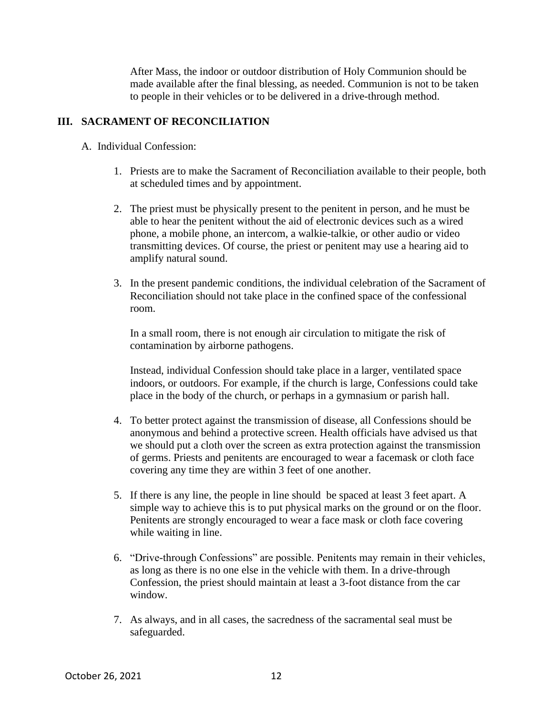After Mass, the indoor or outdoor distribution of Holy Communion should be made available after the final blessing, as needed. Communion is not to be taken to people in their vehicles or to be delivered in a drive-through method.

## **III. SACRAMENT OF RECONCILIATION**

- A. Individual Confession:
	- 1. Priests are to make the Sacrament of Reconciliation available to their people, both at scheduled times and by appointment.
	- 2. The priest must be physically present to the penitent in person, and he must be able to hear the penitent without the aid of electronic devices such as a wired phone, a mobile phone, an intercom, a walkie-talkie, or other audio or video transmitting devices. Of course, the priest or penitent may use a hearing aid to amplify natural sound.
	- 3. In the present pandemic conditions, the individual celebration of the Sacrament of Reconciliation should not take place in the confined space of the confessional room.

In a small room, there is not enough air circulation to mitigate the risk of contamination by airborne pathogens.

Instead, individual Confession should take place in a larger, ventilated space indoors, or outdoors. For example, if the church is large, Confessions could take place in the body of the church, or perhaps in a gymnasium or parish hall.

- 4. To better protect against the transmission of disease, all Confessions should be anonymous and behind a protective screen. Health officials have advised us that we should put a cloth over the screen as extra protection against the transmission of germs. Priests and penitents are encouraged to wear a facemask or cloth face covering any time they are within 3 feet of one another.
- 5. If there is any line, the people in line should be spaced at least 3 feet apart. A simple way to achieve this is to put physical marks on the ground or on the floor. Penitents are strongly encouraged to wear a face mask or cloth face covering while waiting in line.
- 6. "Drive-through Confessions" are possible. Penitents may remain in their vehicles, as long as there is no one else in the vehicle with them. In a drive-through Confession, the priest should maintain at least a 3-foot distance from the car window.
- 7. As always, and in all cases, the sacredness of the sacramental seal must be safeguarded.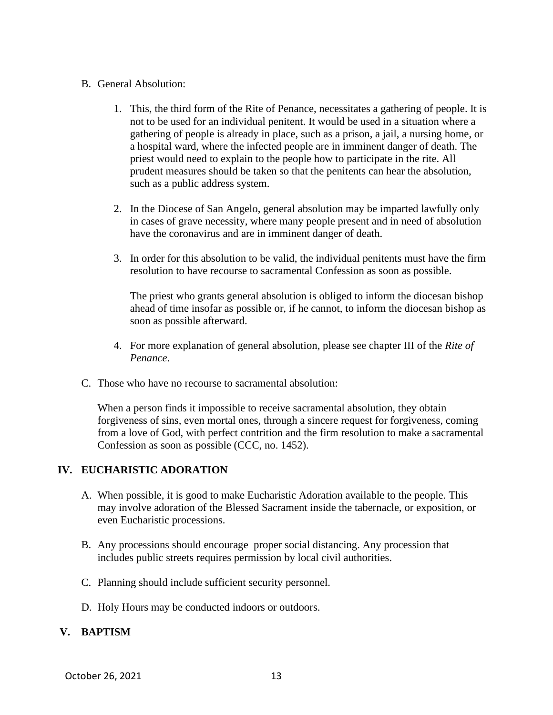#### B. General Absolution:

- 1. This, the third form of the Rite of Penance, necessitates a gathering of people. It is not to be used for an individual penitent. It would be used in a situation where a gathering of people is already in place, such as a prison, a jail, a nursing home, or a hospital ward, where the infected people are in imminent danger of death. The priest would need to explain to the people how to participate in the rite. All prudent measures should be taken so that the penitents can hear the absolution, such as a public address system.
- 2. In the Diocese of San Angelo, general absolution may be imparted lawfully only in cases of grave necessity, where many people present and in need of absolution have the coronavirus and are in imminent danger of death.
- 3. In order for this absolution to be valid, the individual penitents must have the firm resolution to have recourse to sacramental Confession as soon as possible.

The priest who grants general absolution is obliged to inform the diocesan bishop ahead of time insofar as possible or, if he cannot, to inform the diocesan bishop as soon as possible afterward.

- 4. For more explanation of general absolution, please see chapter III of the *Rite of Penance*.
- C. Those who have no recourse to sacramental absolution:

When a person finds it impossible to receive sacramental absolution, they obtain forgiveness of sins, even mortal ones, through a sincere request for forgiveness, coming from a love of God, with perfect contrition and the firm resolution to make a sacramental Confession as soon as possible (CCC, no. 1452).

#### **IV. EUCHARISTIC ADORATION**

- A. When possible, it is good to make Eucharistic Adoration available to the people. This may involve adoration of the Blessed Sacrament inside the tabernacle, or exposition, or even Eucharistic processions.
- B. Any processions should encourage proper social distancing. Any procession that includes public streets requires permission by local civil authorities.
- C. Planning should include sufficient security personnel.
- D. Holy Hours may be conducted indoors or outdoors.

#### **V. BAPTISM**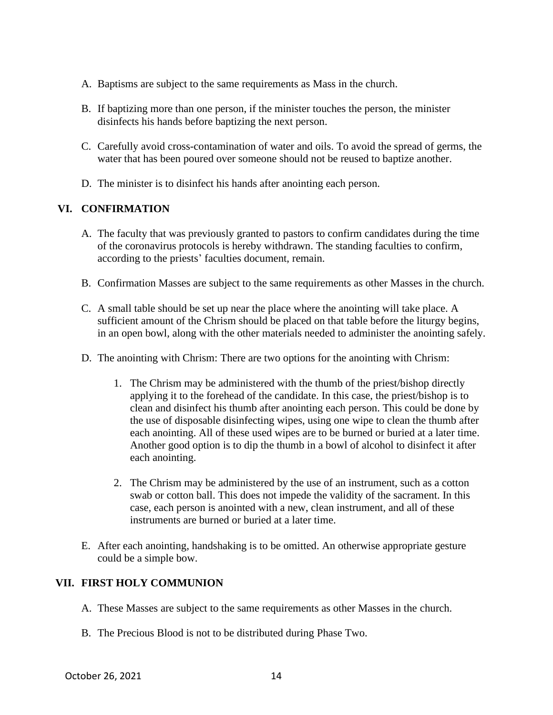- A. Baptisms are subject to the same requirements as Mass in the church.
- B. If baptizing more than one person, if the minister touches the person, the minister disinfects his hands before baptizing the next person.
- C. Carefully avoid cross-contamination of water and oils. To avoid the spread of germs, the water that has been poured over someone should not be reused to baptize another.
- D. The minister is to disinfect his hands after anointing each person.

## **VI. CONFIRMATION**

- A. The faculty that was previously granted to pastors to confirm candidates during the time of the coronavirus protocols is hereby withdrawn. The standing faculties to confirm, according to the priests' faculties document, remain.
- B. Confirmation Masses are subject to the same requirements as other Masses in the church.
- C. A small table should be set up near the place where the anointing will take place. A sufficient amount of the Chrism should be placed on that table before the liturgy begins, in an open bowl, along with the other materials needed to administer the anointing safely.
- D. The anointing with Chrism: There are two options for the anointing with Chrism:
	- 1. The Chrism may be administered with the thumb of the priest/bishop directly applying it to the forehead of the candidate. In this case, the priest/bishop is to clean and disinfect his thumb after anointing each person. This could be done by the use of disposable disinfecting wipes, using one wipe to clean the thumb after each anointing. All of these used wipes are to be burned or buried at a later time. Another good option is to dip the thumb in a bowl of alcohol to disinfect it after each anointing.
	- 2. The Chrism may be administered by the use of an instrument, such as a cotton swab or cotton ball. This does not impede the validity of the sacrament. In this case, each person is anointed with a new, clean instrument, and all of these instruments are burned or buried at a later time.
- E. After each anointing, handshaking is to be omitted. An otherwise appropriate gesture could be a simple bow.

## **VII. FIRST HOLY COMMUNION**

- A. These Masses are subject to the same requirements as other Masses in the church.
- B. The Precious Blood is not to be distributed during Phase Two.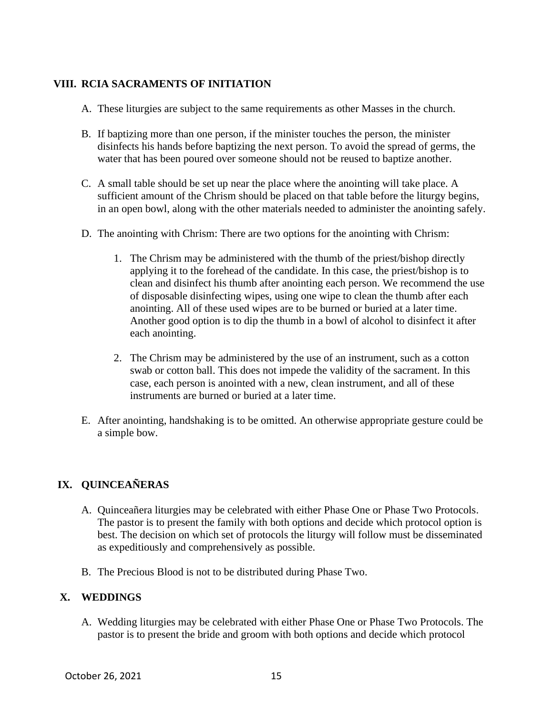## **VIII. RCIA SACRAMENTS OF INITIATION**

- A. These liturgies are subject to the same requirements as other Masses in the church.
- B. If baptizing more than one person, if the minister touches the person, the minister disinfects his hands before baptizing the next person. To avoid the spread of germs, the water that has been poured over someone should not be reused to baptize another.
- C. A small table should be set up near the place where the anointing will take place. A sufficient amount of the Chrism should be placed on that table before the liturgy begins, in an open bowl, along with the other materials needed to administer the anointing safely.
- D. The anointing with Chrism: There are two options for the anointing with Chrism:
	- 1. The Chrism may be administered with the thumb of the priest/bishop directly applying it to the forehead of the candidate. In this case, the priest/bishop is to clean and disinfect his thumb after anointing each person. We recommend the use of disposable disinfecting wipes, using one wipe to clean the thumb after each anointing. All of these used wipes are to be burned or buried at a later time. Another good option is to dip the thumb in a bowl of alcohol to disinfect it after each anointing.
	- 2. The Chrism may be administered by the use of an instrument, such as a cotton swab or cotton ball. This does not impede the validity of the sacrament. In this case, each person is anointed with a new, clean instrument, and all of these instruments are burned or buried at a later time.
- E. After anointing, handshaking is to be omitted. An otherwise appropriate gesture could be a simple bow.

## **IX. QUINCEAÑERAS**

- A. Quinceañera liturgies may be celebrated with either Phase One or Phase Two Protocols. The pastor is to present the family with both options and decide which protocol option is best. The decision on which set of protocols the liturgy will follow must be disseminated as expeditiously and comprehensively as possible.
- B. The Precious Blood is not to be distributed during Phase Two.

## **X. WEDDINGS**

A. Wedding liturgies may be celebrated with either Phase One or Phase Two Protocols. The pastor is to present the bride and groom with both options and decide which protocol